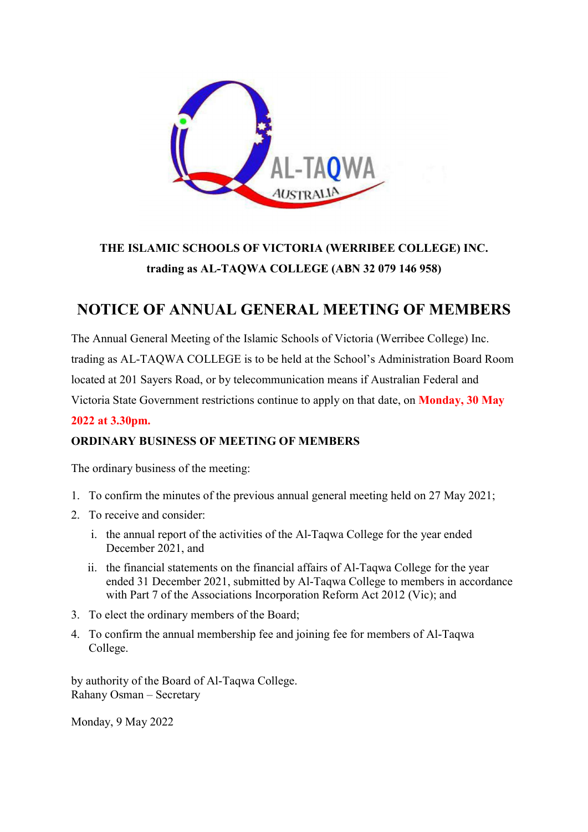

# THE ISLAMIC SCHOOLS OF VICTORIA (WERRIBEE COLLEGE) INC. trading as AL-TAQWA COLLEGE (ABN 32 079 146 958)

# NOTICE OF ANNUAL GENERAL MEETING OF MEMBERS

The Annual General Meeting of the Islamic Schools of Victoria (Werribee College) Inc. trading as AL-TAQWA COLLEGE is to be held at the School's Administration Board Room located at 201 Sayers Road, or by telecommunication means if Australian Federal and Victoria State Government restrictions continue to apply on that date, on Monday, 30 May

## 2022 at 3.30pm.

## ORDINARY BUSINESS OF MEETING OF MEMBERS

The ordinary business of the meeting:

- 1. To confirm the minutes of the previous annual general meeting held on 27 May 2021;
- 2. To receive and consider:
	- i. the annual report of the activities of the Al-Taqwa College for the year ended December 2021, and
	- ii. the financial statements on the financial affairs of Al-Taqwa College for the year ended 31 December 2021, submitted by Al-Taqwa College to members in accordance with Part 7 of the Associations Incorporation Reform Act 2012 (Vic); and
- 3. To elect the ordinary members of the Board;
- 4. To confirm the annual membership fee and joining fee for members of Al-Taqwa College.

by authority of the Board of Al-Taqwa College. Rahany Osman – Secretary

Monday, 9 May 2022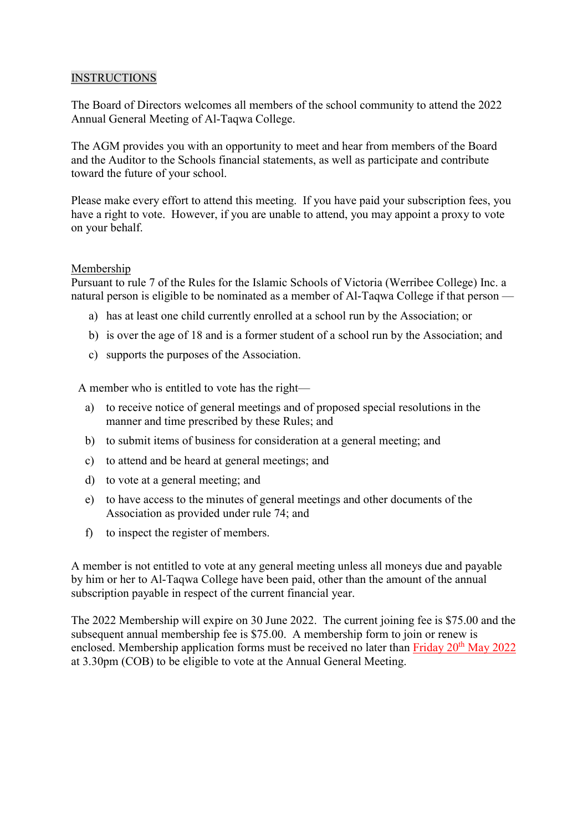### INSTRUCTIONS

The Board of Directors welcomes all members of the school community to attend the 2022 Annual General Meeting of Al-Taqwa College.

The AGM provides you with an opportunity to meet and hear from members of the Board and the Auditor to the Schools financial statements, as well as participate and contribute toward the future of your school.

Please make every effort to attend this meeting. If you have paid your subscription fees, you have a right to vote. However, if you are unable to attend, you may appoint a proxy to vote on your behalf.

### Membership

Pursuant to rule 7 of the Rules for the Islamic Schools of Victoria (Werribee College) Inc. a natural person is eligible to be nominated as a member of Al-Taqwa College if that person —

- a) has at least one child currently enrolled at a school run by the Association; or
- b) is over the age of 18 and is a former student of a school run by the Association; and
- c) supports the purposes of the Association.

A member who is entitled to vote has the right—

- a) to receive notice of general meetings and of proposed special resolutions in the manner and time prescribed by these Rules; and
- b) to submit items of business for consideration at a general meeting; and
- c) to attend and be heard at general meetings; and
- d) to vote at a general meeting; and
- e) to have access to the minutes of general meetings and other documents of the Association as provided under rule 74; and
- f) to inspect the register of members.

A member is not entitled to vote at any general meeting unless all moneys due and payable by him or her to Al-Taqwa College have been paid, other than the amount of the annual subscription payable in respect of the current financial year.

The 2022 Membership will expire on 30 June 2022. The current joining fee is \$75.00 and the subsequent annual membership fee is \$75.00. A membership form to join or renew is enclosed. Membership application forms must be received no later than Friday 20<sup>th</sup> May 2022 at 3.30pm (COB) to be eligible to vote at the Annual General Meeting.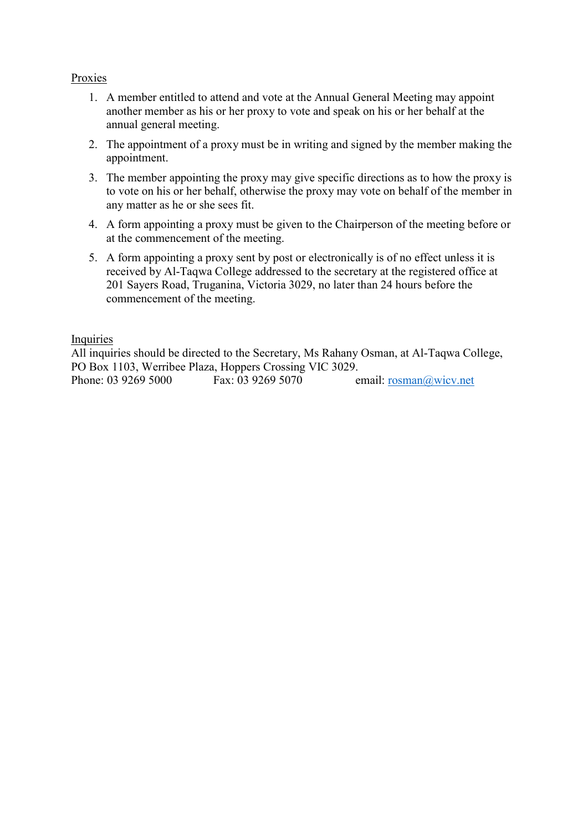### Proxies

- 1. A member entitled to attend and vote at the Annual General Meeting may appoint another member as his or her proxy to vote and speak on his or her behalf at the annual general meeting.
- 2. The appointment of a proxy must be in writing and signed by the member making the appointment.
- 3. The member appointing the proxy may give specific directions as to how the proxy is to vote on his or her behalf, otherwise the proxy may vote on behalf of the member in any matter as he or she sees fit.
- 4. A form appointing a proxy must be given to the Chairperson of the meeting before or at the commencement of the meeting.
- 5. A form appointing a proxy sent by post or electronically is of no effect unless it is received by Al-Taqwa College addressed to the secretary at the registered office at 201 Sayers Road, Truganina, Victoria 3029, no later than 24 hours before the commencement of the meeting.

### Inquiries

All inquiries should be directed to the Secretary, Ms Rahany Osman, at Al-Taqwa College, PO Box 1103, Werribee Plaza, Hoppers Crossing VIC 3029. Phone: 03 9269 5000 Fax: 03 9269 5070 email: rosman@wicv.net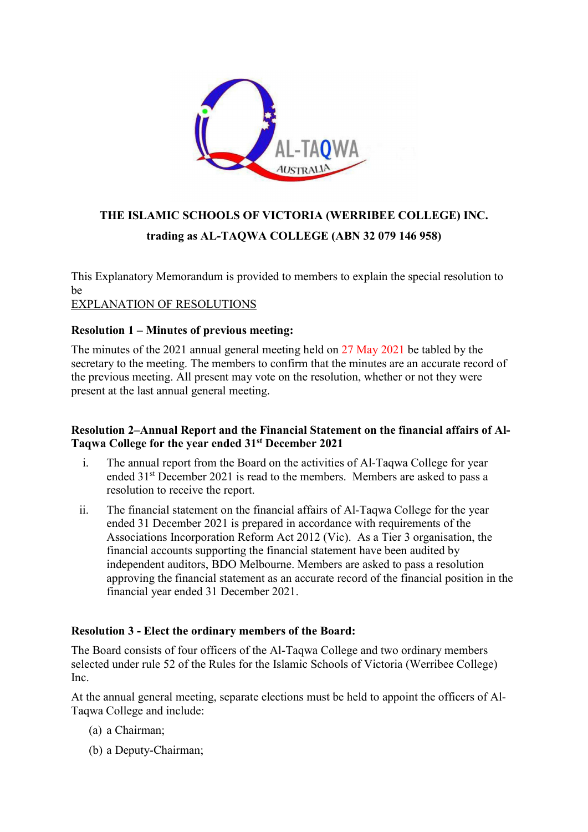

# THE ISLAMIC SCHOOLS OF VICTORIA (WERRIBEE COLLEGE) INC. trading as AL-TAQWA COLLEGE (ABN 32 079 146 958)

This Explanatory Memorandum is provided to members to explain the special resolution to be

## EXPLANATION OF RESOLUTIONS

### Resolution 1 – Minutes of previous meeting:

The minutes of the 2021 annual general meeting held on 27 May 2021 be tabled by the secretary to the meeting. The members to confirm that the minutes are an accurate record of the previous meeting. All present may vote on the resolution, whether or not they were present at the last annual general meeting.

### Resolution 2–Annual Report and the Financial Statement on the financial affairs of Al-Taqwa College for the year ended 31st December 2021

- i. The annual report from the Board on the activities of Al-Taqwa College for year ended 31<sup>st</sup> December 2021 is read to the members. Members are asked to pass a resolution to receive the report.
- ii. The financial statement on the financial affairs of Al-Taqwa College for the year ended 31 December 2021 is prepared in accordance with requirements of the Associations Incorporation Reform Act 2012 (Vic). As a Tier 3 organisation, the financial accounts supporting the financial statement have been audited by independent auditors, BDO Melbourne. Members are asked to pass a resolution approving the financial statement as an accurate record of the financial position in the financial year ended 31 December 2021.

### Resolution 3 - Elect the ordinary members of the Board:

The Board consists of four officers of the Al-Taqwa College and two ordinary members selected under rule 52 of the Rules for the Islamic Schools of Victoria (Werribee College) Inc.

At the annual general meeting, separate elections must be held to appoint the officers of Al-Taqwa College and include:

- (a) a Chairman;
- (b) a Deputy-Chairman;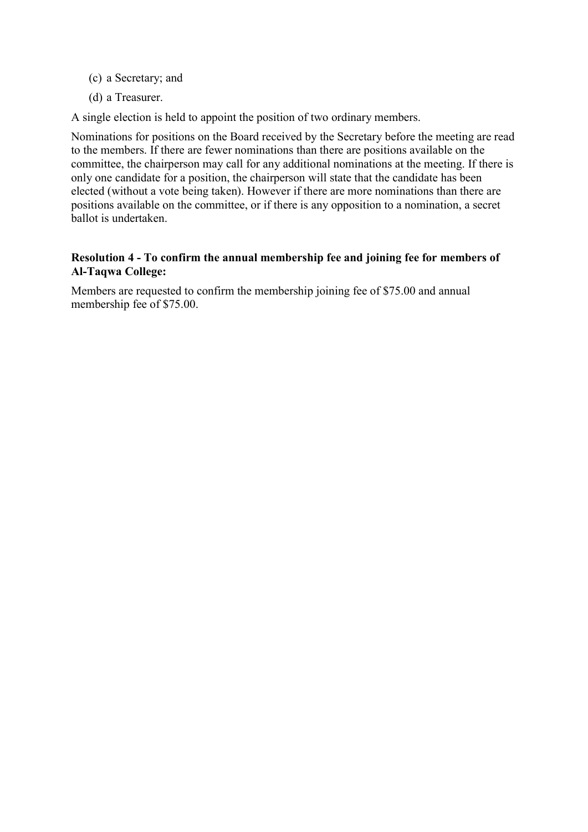- (c) a Secretary; and
- (d) a Treasurer.

A single election is held to appoint the position of two ordinary members.

Nominations for positions on the Board received by the Secretary before the meeting are read to the members. If there are fewer nominations than there are positions available on the committee, the chairperson may call for any additional nominations at the meeting. If there is only one candidate for a position, the chairperson will state that the candidate has been elected (without a vote being taken). However if there are more nominations than there are positions available on the committee, or if there is any opposition to a nomination, a secret ballot is undertaken.

### Resolution 4 - To confirm the annual membership fee and joining fee for members of Al-Taqwa College:

Members are requested to confirm the membership joining fee of \$75.00 and annual membership fee of \$75.00.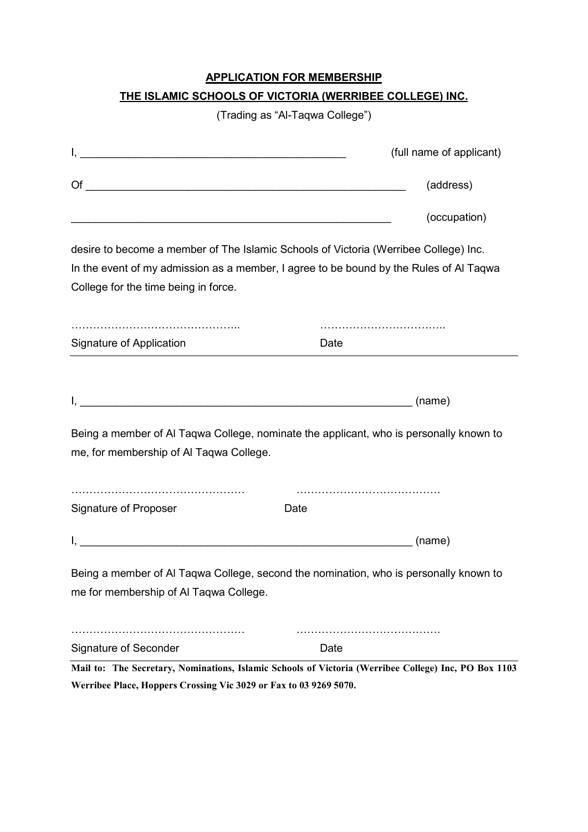## APPLICATION FOR MEMBERSHIP

## THE ISLAMIC SCHOOLS OF VICTORIA (WERRIBEE COLLEGE) INC.

(Trading as "Al-Taqwa College")

|                                                                   | (full name of applicant)                                                                             |  |  |
|-------------------------------------------------------------------|------------------------------------------------------------------------------------------------------|--|--|
| $\circ$ of $\overline{\phantom{a}}$                               | (address)                                                                                            |  |  |
|                                                                   | (occupation)                                                                                         |  |  |
|                                                                   | desire to become a member of The Islamic Schools of Victoria (Werribee College) Inc.                 |  |  |
|                                                                   | In the event of my admission as a member, I agree to be bound by the Rules of AI Taqwa               |  |  |
| College for the time being in force.                              |                                                                                                      |  |  |
|                                                                   |                                                                                                      |  |  |
| Signature of Application                                          | Date                                                                                                 |  |  |
|                                                                   |                                                                                                      |  |  |
|                                                                   |                                                                                                      |  |  |
|                                                                   | Being a member of AI Taqwa College, nominate the applicant, who is personally known to               |  |  |
| me, for membership of Al Taqwa College.                           |                                                                                                      |  |  |
|                                                                   |                                                                                                      |  |  |
| Signature of Proposer                                             | Date                                                                                                 |  |  |
|                                                                   |                                                                                                      |  |  |
|                                                                   | Being a member of AI Taqwa College, second the nomination, who is personally known to                |  |  |
| me for membership of Al Taqwa College.                            |                                                                                                      |  |  |
|                                                                   |                                                                                                      |  |  |
| <b>Signature of Seconder</b>                                      | Date                                                                                                 |  |  |
|                                                                   | Mail to: The Secretary, Nominations, Islamic Schools of Victoria (Werribee College) Inc, PO Box 1103 |  |  |
| Werribee Place, Hoppers Crossing Vic 3029 or Fax to 03 9269 5070. |                                                                                                      |  |  |